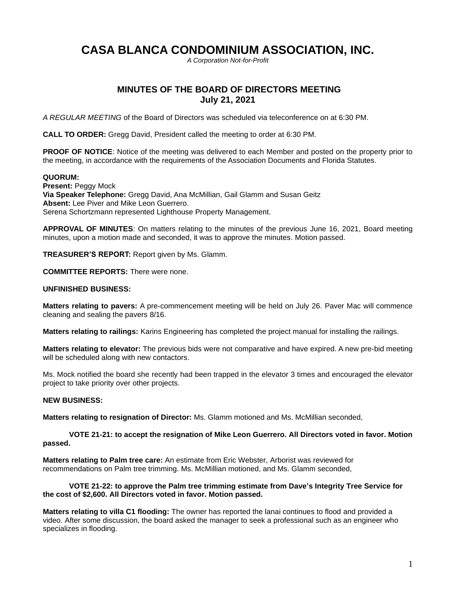# **CASA BLANCA CONDOMINIUM ASSOCIATION, INC.**

*A Corporation Not-for-Profit*

## **MINUTES OF THE BOARD OF DIRECTORS MEETING July 21, 2021**

*A REGULAR MEETING* of the Board of Directors was scheduled via teleconference on at 6:30 PM.

**CALL TO ORDER:** Gregg David, President called the meeting to order at 6:30 PM.

**PROOF OF NOTICE:** Notice of the meeting was delivered to each Member and posted on the property prior to the meeting, in accordance with the requirements of the Association Documents and Florida Statutes.

#### **QUORUM:**

**Present:** Peggy Mock **Via Speaker Telephone:** Gregg David, Ana McMillian, Gail Glamm and Susan Geitz **Absent:** Lee Piver and Mike Leon Guerrero. Serena Schortzmann represented Lighthouse Property Management.

**APPROVAL OF MINUTES**: On matters relating to the minutes of the previous June 16, 2021, Board meeting minutes, upon a motion made and seconded, it was to approve the minutes. Motion passed.

**TREASURER'S REPORT:** Report given by Ms. Glamm.

**COMMITTEE REPORTS:** There were none.

#### **UNFINISHED BUSINESS:**

**Matters relating to pavers:** A pre-commencement meeting will be held on July 26. Paver Mac will commence cleaning and sealing the pavers 8/16.

**Matters relating to railings:** Karins Engineering has completed the project manual for installing the railings.

**Matters relating to elevator:** The previous bids were not comparative and have expired. A new pre-bid meeting will be scheduled along with new contactors.

Ms. Mock notified the board she recently had been trapped in the elevator 3 times and encouraged the elevator project to take priority over other projects.

### **NEW BUSINESS:**

**Matters relating to resignation of Director:** Ms. Glamm motioned and Ms. McMillian seconded,

**VOTE 21-21: to accept the resignation of Mike Leon Guerrero. All Directors voted in favor. Motion passed.**

**Matters relating to Palm tree care:** An estimate from Eric Webster, Arborist was reviewed for recommendations on Palm tree trimming. Ms. McMillian motioned, and Ms. Glamm seconded,

**VOTE 21-22: to approve the Palm tree trimming estimate from Dave's Integrity Tree Service for the cost of \$2,600. All Directors voted in favor. Motion passed.**

**Matters relating to villa C1 flooding:** The owner has reported the lanai continues to flood and provided a video. After some discussion, the board asked the manager to seek a professional such as an engineer who specializes in flooding.